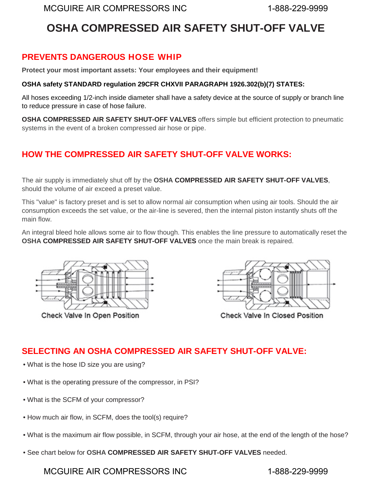# **OSHA COMPRESSED AIR SAFETY SHUT-OFF VALVE**

## **PREVENTS DANGEROUS HOSE WHIP**

**Protect your most important assets: Your employees and their equipment!**

#### **OSHA safety STANDARD regulation 29CFR CHXVII PARAGRAPH 1926.302(b)(7) STATES:**

All hoses exceeding 1/2-inch inside diameter shall have a safety device at the source of supply or branch line to reduce pressure in case of hose failure.

**OSHA COMPRESSED AIR SAFETY SHUT-OFF VALVES** offers simple but efficient protection to pneumatic systems in the event of a broken compressed air hose or pipe.

# **HOW THE COMPRESSED AIR SAFETY SHUT-OFF VALVE WORKS:**

The air supply is immediately shut off by the **OSHA COMPRESSED AIR SAFETY SHUT-OFF VALVES**, should the volume of air exceed a preset value.

This "value" is factory preset and is set to allow normal air consumption when using air tools. Should the air consumption exceeds the set value, or the air-line is severed, then the internal piston instantly shuts off the main flow.

An integral bleed hole allows some air to flow though. This enables the line pressure to automatically reset the **OSHA COMPRESSED AIR SAFETY SHUT-OFF VALVES** once the main break is repaired.



Check Valve In Open Position



Check Valve In Closed Position

# **SELECTING AN OSHA COMPRESSED AIR SAFETY SHUT-OFF VALVE:**

- What is the hose ID size you are using?
- What is the operating pressure of the compressor, in PSI?
- What is the SCFM of your compressor?
- How much air flow, in SCFM, does the tool(s) require?
- What is the maximum air flow possible, in SCFM, through your air hose, at the end of the length of the hose?
- See chart below for **OSHA COMPRESSED AIR SAFETY SHUT-OFF VALVES** needed.

## MCGUIRE AIR COMPRESSORS INC 1-888-229-9999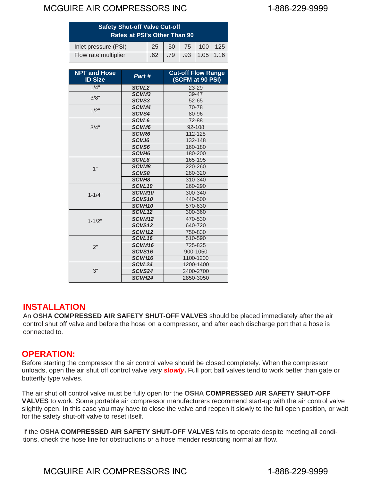## MCGUIRE AIR COMPRESSORS INC<br>
1-888-229-9999

| <b>Safety Shut-off Valve Cut-off</b><br>Rates at PSI's Other Than 90 |  |  |  |                               |  |
|----------------------------------------------------------------------|--|--|--|-------------------------------|--|
| Inlet pressure (PSI)                                                 |  |  |  | 25 50 75 100 125              |  |
| Flow rate multiplier                                                 |  |  |  | $.62$ $.79$ $.93$ $1.05$ 1.16 |  |

| <b>NPT and Hose</b><br><b>ID Size</b> | Part #             | <b>Cut-off Flow Range</b><br>(SCFM at 90 PSI) |  |  |
|---------------------------------------|--------------------|-----------------------------------------------|--|--|
| 1/4"                                  | SCVL <sub>2</sub>  | 23-29                                         |  |  |
| 3/8"                                  | <b>SCVM3</b>       | $39 - 47$                                     |  |  |
|                                       | SCVS3              | 52-65                                         |  |  |
| 1/2"                                  | SCVM4              | 70-78                                         |  |  |
|                                       | SCVS4              | 80-96                                         |  |  |
| 3/4"                                  | SCVL6              | 72-88                                         |  |  |
|                                       | <b>SCVM6</b>       | 92-108                                        |  |  |
|                                       | <b>SCVR6</b>       | 112-128                                       |  |  |
|                                       | SCVJ6              | 132-148                                       |  |  |
|                                       | <b>SCVS6</b>       | 160-180                                       |  |  |
|                                       | SCVH <sub>6</sub>  | 180-200                                       |  |  |
| 1"                                    | <b>SCVL8</b>       | 165-195                                       |  |  |
|                                       | <b>SCVM8</b>       | 220-260                                       |  |  |
|                                       | <b>SCVS8</b>       | 280-320                                       |  |  |
|                                       | SCVH <sub>8</sub>  | 310-340                                       |  |  |
| $1 - 1/4"$                            | SCVL <sub>10</sub> | 260-290                                       |  |  |
|                                       | SCVM <sub>10</sub> | 300-340                                       |  |  |
|                                       | SCVS <sub>10</sub> | 440-500                                       |  |  |
|                                       | SCVH <sub>10</sub> | 570-630                                       |  |  |
| $1 - 1/2"$                            | SCVL <sub>12</sub> | 300-360                                       |  |  |
|                                       | SCVM <sub>12</sub> | 470-530                                       |  |  |
|                                       | SCVS12             | 640-720                                       |  |  |
|                                       | SCVH <sub>12</sub> | 750-830                                       |  |  |
| 2"                                    | SCVL <sub>16</sub> | 510-590                                       |  |  |
|                                       | SCVM16             | 725-825                                       |  |  |
|                                       | SCVS <sub>16</sub> | 900-1050                                      |  |  |
|                                       | SCVH <sub>16</sub> | 1100-1200                                     |  |  |
| 3"                                    | SCVL24             | 1200-1400                                     |  |  |
|                                       | SCVS24             | 2400-2700                                     |  |  |
|                                       | SCVH <sub>24</sub> | 2850-3050                                     |  |  |

#### **INSTALLATION**

An **OSHA COMPRESSED AIR SAFETY SHUT-OFF VALVES** should be placed immediately after the air control shut off valve and before the hose on a compressor, and after each discharge port that a hose is connected to.

## **OPERATION:**

Before starting the compressor the air control valve should be closed completely. When the compressor unloads, open the air shut off control valve *very slowly***.** Full port ball valves tend to work better than gate or butterfly type valves.

The air shut off control valve must be fully open for the **OSHA COMPRESSED AIR SAFETY SHUT-OFF VALVES** to work. Some portable air compressor manufacturers recommend start-up with the air control valve slightly open. In this case you may have to close the valve and reopen it slowly to the full open position, or wait for the safety shut-off valve to reset itself.

If the **OSHA COMPRESSED AIR SAFETY SHUT-OFF VALVES** fails to operate despite meeting all conditions, check the hose line for obstructions or a hose mender restricting normal air flow.

## MCGUIRE AIR COMPRESSORS INC 1-888-229-9999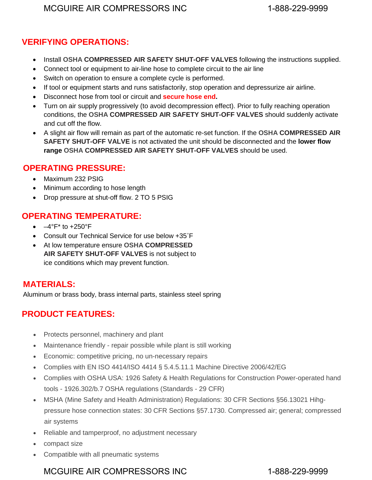## **VERIFYING OPERATIONS:**

- Install **OSHA COMPRESSED AIR SAFETY SHUT-OFF VALVES** following the instructions supplied.
- Connect tool or equipment to air-line hose to complete circuit to the air line
- Switch on operation to ensure a complete cycle is performed.
- If tool or equipment starts and runs satisfactorily, stop operation and depressurize air airline.
- Disconnect hose from tool or circuit and **secure hose end.**
- Turn on air supply progressively (to avoid decompression effect). Prior to fully reaching operation conditions, the **OSHA COMPRESSED AIR SAFETY SHUT-OFF VALVES** should suddenly activate and cut off the flow.
- A slight air flow will remain as part of the automatic re-set function. If the **OSHA COMPRESSED AIR SAFETY SHUT-OFF VALVE** is not activated the unit should be disconnected and the **lower flow range OSHA COMPRESSED AIR SAFETY SHUT-OFF VALVES** should be used.

#### **OPERATING PRESSURE:**

- Maximum 232 PSIG
- Minimum according to hose length
- Drop pressure at shut-off flow. 2 TO 5 PSIG

## **OPERATING TEMPERATURE:**

- $\bullet$   $-4^{\circ}F^*$  to  $+250^{\circ}F$
- Consult our Technical Service for use below +35˚F
- At low temperature ensure **OSHA COMPRESSED AIR SAFETY SHUT-OFF VALVES** is not subject to ice conditions which may prevent function.

## **MATERIALS:**

Aluminum or brass body, brass internal parts, stainless steel spring

## **PRODUCT FEATURES:**

- Protects personnel, machinery and plant
- Maintenance friendly repair possible while plant is still working
- Economic: competitive pricing, no un-necessary repairs
- Complies with EN ISO 4414/ISO 4414 § 5.4.5.11.1 Machine Directive 2006/42/EG
- Complies with OSHA USA: 1926 Safety & Health Regulations for Construction Power-operated hand tools - 1926.302/b.7 OSHA regulations (Standards - 29 CFR)
- MSHA (Mine Safety and Health Administration) Regulations: 30 CFR Sections §56.13021 Hihgpressure hose connection states: 30 CFR Sections §57.1730. Compressed air; general; compressed air systems
- Reliable and tamperproof, no adjustment necessary
- compact size
- Compatible with all pneumatic systems

## MCGUIRE AIR COMPRESSORS INC 1-888-229-9999